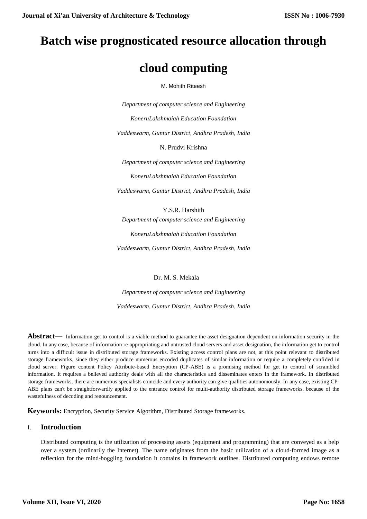# **Batch wise prognosticated resource allocation through**

# **cloud computing**

M. Mohith Riteesh

*Department of computer science and Engineering KoneruLakshmaiah Education Foundation Vaddeswarm, Guntur District, Andhra Pradesh, India* N. Prudvi Krishna

*Department of computer science and Engineering KoneruLakshmaiah Education Foundation Vaddeswarm, Guntur District, Andhra Pradesh, India*

Y.S.R. Harshith *Department of computer science and Engineering KoneruLakshmaiah Education Foundation*

*Vaddeswarm, Guntur District, Andhra Pradesh, India*

Dr. M. S. Mekala

*Department of computer science and Engineering Vaddeswarm, Guntur District, Andhra Pradesh, India*

**Abstract**— Information get to control is a viable method to guarantee the asset designation dependent on information security in the cloud. In any case, because of information re-appropriating and untrusted cloud servers and asset designation, the information get to control turns into a difficult issue in distributed storage frameworks. Existing access control plans are not, at this point relevant to distributed storage frameworks, since they either produce numerous encoded duplicates of similar information or require a completely confided in cloud server. Figure content Policy Attribute-based Encryption (CP-ABE) is a promising method for get to control of scrambled information. It requires a believed authority deals with all the characteristics and disseminates enters in the framework. In distributed storage frameworks, there are numerous specialists coincide and every authority can give qualities autonomously. In any case, existing CP-ABE plans can't be straightforwardly applied to the entrance control for multi-authority distributed storage frameworks, because of the wastefulness of decoding and renouncement.

**Keywords:** Encryption, Security Service Algorithm, Distributed Storage frameworks.

# I. **Introduction**

Distributed computing is the utilization of processing assets (equipment and programming) that are conveyed as a help over a system (ordinarily the Internet). The name originates from the basic utilization of a cloud-formed image as a reflection for the mind-boggling foundation it contains in framework outlines. Distributed computing endows remote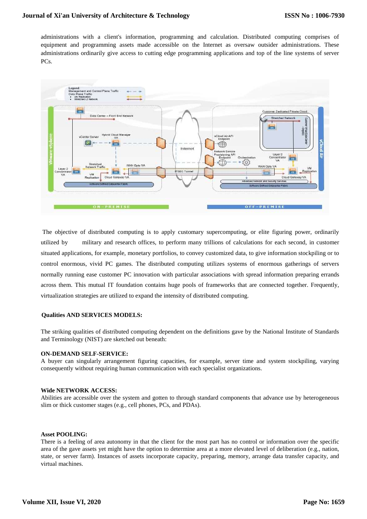administrations with a client's information, programming and calculation. Distributed computing comprises of equipment and programming assets made accessible on the Internet as oversaw outsider administrations. These administrations ordinarily give access to cutting edge programming applications and top of the line systems of server PCs.



The objective of distributed computing is to apply customary supercomputing, or elite figuring power, ordinarily utilized by military and research offices, to perform many trillions of calculations for each second, in customer situated applications, for example, monetary portfolios, to convey customized data, to give information stockpiling or to control enormous, vivid PC games. The distributed computing utilizes systems of enormous gatherings of servers normally running ease customer PC innovation with particular associations with spread information preparing errands across them. This mutual IT foundation contains huge pools of frameworks that are connected together. Frequently, virtualization strategies are utilized to expand the intensity of distributed computing.

#### **Qualities AND SERVICES MODELS:**

The striking qualities of distributed computing dependent on the definitions gave by the National Institute of Standards and Terminology (NIST) are sketched out beneath:

#### **ON-DEMAND SELF-SERVICE:**

A buyer can singularly arrangement figuring capacities, for example, server time and system stockpiling, varying consequently without requiring human communication with each specialist organizations.

#### **Wide NETWORK ACCESS:**

Abilities are accessible over the system and gotten to through standard components that advance use by heterogeneous slim or thick customer stages (e.g., cell phones, PCs, and PDAs).

#### **Asset POOLING:**

There is a feeling of area autonomy in that the client for the most part has no control or information over the specific area of the gave assets yet might have the option to determine area at a more elevated level of deliberation (e.g., nation, state, or server farm). Instances of assets incorporate capacity, preparing, memory, arrange data transfer capacity, and virtual machines.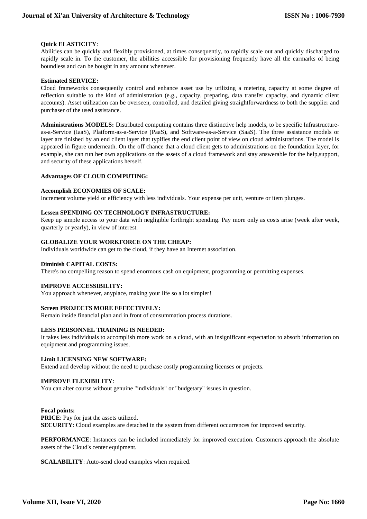## **Quick ELASTICITY**:

Abilities can be quickly and flexibly provisioned, at times consequently, to rapidly scale out and quickly discharged to rapidly scale in. To the customer, the abilities accessible for provisioning frequently have all the earmarks of being boundless and can be bought in any amount whenever.

## **Estimated SERVICE:**

Cloud frameworks consequently control and enhance asset use by utilizing a metering capacity at some degree of reflection suitable to the kind of administration (e.g., capacity, preparing, data transfer capacity, and dynamic client accounts). Asset utilization can be overseen, controlled, and detailed giving straightforwardness to both the supplier and purchaser of the used assistance.

**Administrations MODELS:** Distributed computing contains three distinctive help models, to be specific Infrastructureas-a-Service (IaaS), Platform-as-a-Service (PaaS), and Software-as-a-Service (SaaS). The three assistance models or layer are finished by an end client layer that typifies the end client point of view on cloud administrations. The model is appeared in figure underneath. On the off chance that a cloud client gets to administrations on the foundation layer, for example, she can run her own applications on the assets of a cloud framework and stay answerable for the help,support, and security of these applications herself.

#### **Advantages OF CLOUD COMPUTING:**

#### **Accomplish ECONOMIES OF SCALE:**

Increment volume yield or efficiency with less individuals. Your expense per unit, venture or item plunges.

#### **Lessen SPENDING ON TECHNOLOGY INFRASTRUCTURE:**

Keep up simple access to your data with negligible forthright spending. Pay more only as costs arise (week after week, quarterly or yearly), in view of interest.

#### **GLOBALIZE YOUR WORKFORCE ON THE CHEAP:**

Individuals worldwide can get to the cloud, if they have an Internet association.

#### **Diminish CAPITAL COSTS:**

There's no compelling reason to spend enormous cash on equipment, programming or permitting expenses.

## **IMPROVE ACCESSIBILITY:**

You approach whenever, anyplace, making your life so a lot simpler!

## **Screen PROJECTS MORE EFFECTIVELY:**

Remain inside financial plan and in front of consummation process durations.

## **LESS PERSONNEL TRAINING IS NEEDED:**

It takes less individuals to accomplish more work on a cloud, with an insignificant expectation to absorb information on equipment and programming issues.

#### **Limit LICENSING NEW SOFTWARE:**

Extend and develop without the need to purchase costly programming licenses or projects.

#### **IMPROVE FLEXIBILITY**:

You can alter course without genuine "individuals" or "budgetary" issues in question.

## **Focal points:**

**PRICE**: Pay for just the assets utilized. **SECURITY**: Cloud examples are detached in the system from different occurrences for improved security.

**PERFORMANCE**: Instances can be included immediately for improved execution. Customers approach the absolute assets of the Cloud's center equipment.

**SCALABILITY**: Auto-send cloud examples when required.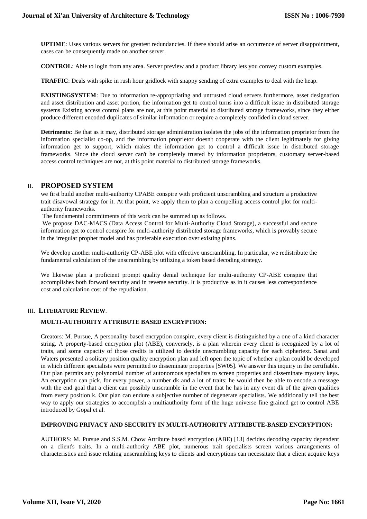**UPTIME**: Uses various servers for greatest redundancies. If there should arise an occurrence of server disappointment, cases can be consequently made on another server.

**CONTROL**: Able to login from any area. Server preview and a product library lets you convey custom examples.

**TRAFFIC**: Deals with spike in rush hour gridlock with snappy sending of extra examples to deal with the heap.

**EXISTINGSYSTEM**: Due to information re-appropriating and untrusted cloud servers furthermore, asset designation and asset distribution and asset portion, the information get to control turns into a difficult issue in distributed storage systems Existing access control plans are not, at this point material to distributed storage frameworks, since they either produce different encoded duplicates of similar information or require a completely confided in cloud server.

**Detriments:** Be that as it may, distributed storage administration isolates the jobs of the information proprietor from the information specialist co-op, and the information proprietor doesn't cooperate with the client legitimately for giving information get to support, which makes the information get to control a difficult issue in distributed storage frameworks. Since the cloud server can't be completely trusted by information proprietors, customary server-based access control techniques are not, at this point material to distributed storage frameworks.

## II. **PROPOSED SYSTEM**

we first build another multi-authority CPABE conspire with proficient unscrambling and structure a productive trait disavowal strategy for it. At that point, we apply them to plan a compelling access control plot for multiauthority frameworks.

The fundamental commitments of this work can be summed up as follows.

We propose DAC-MACS (Data Access Control for Multi-Authority Cloud Storage), a successful and secure information get to control conspire for multi-authority distributed storage frameworks, which is provably secure in the irregular prophet model and has preferable execution over existing plans.

We develop another multi-authority CP-ABE plot with effective unscrambling. In particular, we redistribute the fundamental calculation of the unscrambling by utilizing a token based decoding strategy.

We likewise plan a proficient prompt quality denial technique for multi-authority CP-ABE conspire that accomplishes both forward security and in reverse security. It is productive as in it causes less correspondence cost and calculation cost of the repudiation.

# III. **LITERATURE REVIEW**.

# **MULTI-AUTHORITY ATTRIBUTE BASED ENCRYPTION:**

Creators: M. Pursue, A personality-based encryption conspire, every client is distinguished by a one of a kind character string. A property-based encryption plot (ABE), conversely, is a plan wherein every client is recognized by a lot of traits, and some capacity of those credits is utilized to decide unscrambling capacity for each ciphertext. Sanai and Waters presented a solitary position quality encryption plan and left open the topic of whether a plan could be developed in which different specialists were permitted to disseminate properties [SW05]. We answer this inquiry in the certifiable. Our plan permits any polynomial number of autonomous specialists to screen properties and disseminate mystery keys. An encryption can pick, for every power, a number dk and a lot of traits; he would then be able to encode a message with the end goal that a client can possibly unscramble in the event that he has in any event dk of the given qualities from every position k. Our plan can endure a subjective number of degenerate specialists. We additionally tell the best way to apply our strategies to accomplish a multiauthority form of the huge universe fine grained get to control ABE introduced by Gopal et al.

## **IMPROVING PRIVACY AND SECURITY IN MULTI-AUTHORITY ATTRIBUTE-BASED ENCRYPTION:**

AUTHORS: M. Pursue and S.S.M. Chow Attribute based encryption (ABE) [13] decides decoding capacity dependent on a client's traits. In a multi-authority ABE plot, numerous trait specialists screen various arrangements of characteristics and issue relating unscrambling keys to clients and encryptions can necessitate that a client acquire keys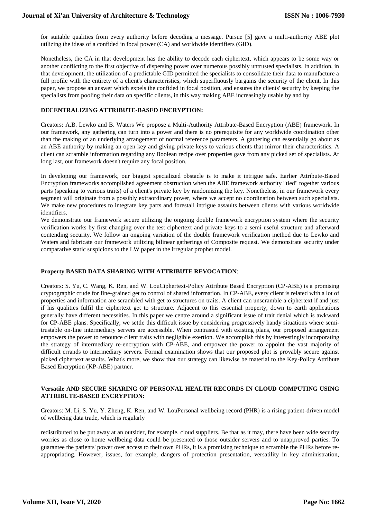for suitable qualities from every authority before decoding a message. Pursue [5] gave a multi-authority ABE plot utilizing the ideas of a confided in focal power (CA) and worldwide identifiers (GID).

Nonetheless, the CA in that development has the ability to decode each ciphertext, which appears to be some way or another conflicting to the first objective of dispersing power over numerous possibly untrusted specialists. In addition, in that development, the utilization of a predictable GID permitted the specialists to consolidate their data to manufacture a full profile with the entirety of a client's characteristics, which superfluously bargains the security of the client. In this paper, we propose an answer which expels the confided in focal position, and ensures the clients' security by keeping the specialists from pooling their data on specific clients, in this way making ABE increasingly usable by and by

#### **DECENTRALIZING ATTRIBUTE-BASED ENCRYPTION:**

Creators: A.B. Lewko and B. Waters We propose a Multi-Authority Attribute-Based Encryption (ABE) framework. In our framework, any gathering can turn into a power and there is no prerequisite for any worldwide coordination other than the making of an underlying arrangement of normal reference parameters. A gathering can essentially go about as an ABE authority by making an open key and giving private keys to various clients that mirror their characteristics. A client can scramble information regarding any Boolean recipe over properties gave from any picked set of specialists. At long last, our framework doesn't require any focal position.

In developing our framework, our biggest specialized obstacle is to make it intrigue safe. Earlier Attribute-Based Encryption frameworks accomplished agreement obstruction when the ABE framework authority "tied" together various parts (speaking to various traits) of a client's private key by randomizing the key. Nonetheless, in our framework every segment will originate from a possibly extraordinary power, where we accept no coordination between such specialists. We make new procedures to integrate key parts and forestall intrigue assaults between clients with various worldwide identifiers.

We demonstrate our framework secure utilizing the ongoing double framework encryption system where the security verification works by first changing over the test ciphertext and private keys to a semi-useful structure and afterward contending security. We follow an ongoing variation of the double framework verification method due to Lewko and Waters and fabricate our framework utilizing bilinear gatherings of Composite request. We demonstrate security under comparative static suspicions to the LW paper in the irregular prophet model.

## **Property BASED DATA SHARING WITH ATTRIBUTE REVOCATION**:

Creators: S. Yu, C. Wang, K. Ren, and W. LouCiphertext-Policy Attribute Based Encryption (CP-ABE) is a promising cryptographic crude for fine-grained get to control of shared information. In CP-ABE, every client is related with a lot of properties and information are scrambled with get to structures on traits. A client can unscramble a ciphertext if and just if his qualities fulfil the ciphertext get to structure. Adjacent to this essential property, down to earth applications generally have different necessities. In this paper we centre around a significant issue of trait denial which is awkward for CP-ABE plans. Specifically, we settle this difficult issue by considering progressively handy situations where semitrustable on-line intermediary servers are accessible. When contrasted with existing plans, our proposed arrangement empowers the power to renounce client traits with negligible exertion. We accomplish this by interestingly incorporating the strategy of intermediary re-encryption with CP-ABE, and empower the power to appoint the vast majority of difficult errands to intermediary servers. Formal examination shows that our proposed plot is provably secure against picked ciphertext assaults. What's more, we show that our strategy can likewise be material to the Key-Policy Attribute Based Encryption (KP-ABE) partner.

## **Versatile AND SECURE SHARING OF PERSONAL HEALTH RECORDS IN CLOUD COMPUTING USING ATTRIBUTE-BASED ENCRYPTION:**

Creators: M. Li, S. Yu, Y. Zheng, K. Ren, and W. LouPersonal wellbeing record (PHR) is a rising patient-driven model of wellbeing data trade, which is regularly

redistributed to be put away at an outsider, for example, cloud suppliers. Be that as it may, there have been wide security worries as close to home wellbeing data could be presented to those outsider servers and to unapproved parties. To guarantee the patients' power over access to their own PHRs, it is a promising technique to scramble the PHRs before reappropriating. However, issues, for example, dangers of protection presentation, versatility in key administration,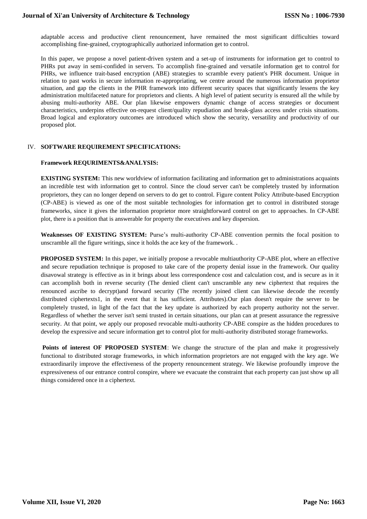adaptable access and productive client renouncement, have remained the most significant difficulties toward accomplishing fine-grained, cryptographically authorized information get to control.

In this paper, we propose a novel patient-driven system and a set-up of instruments for information get to control to PHRs put away in semi-confided in servers. To accomplish fine-grained and versatile information get to control for PHRs, we influence trait-based encryption (ABE) strategies to scramble every patient's PHR document. Unique in relation to past works in secure information re-appropriating, we centre around the numerous information proprietor situation, and gap the clients in the PHR framework into different security spaces that significantly lessens the key administration multifaceted nature for proprietors and clients. A high level of patient security is ensured all the while by abusing multi-authority ABE. Our plan likewise empowers dynamic change of access strategies or document characteristics, underpins effective on-request client/quality repudiation and break-glass access under crisis situations. Broad logical and exploratory outcomes are introduced which show the security, versatility and productivity of our proposed plot.

## IV. **SOFTWARE REQUIREMENT SPECIFICATIONS:**

## **Framework REQURIMENTS&ANALYSIS:**

**EXISTING SYSTEM:** This new worldview of information facilitating and information get to administrations acquaints an incredible test with information get to control. Since the cloud server can't be completely trusted by information proprietors, they can no longer depend on servers to do get to control. Figure content Policy Attribute-based Encryption (CP-ABE) is viewed as one of the most suitable technologies for information get to control in distributed storage frameworks, since it gives the information proprietor more straightforward control on get to approaches. In CP-ABE plot, there is a position that is answerable for property the executives and key dispersion.

**Weaknesses OF EXISTING SYSTEM:** Purse's multi-authority CP-ABE convention permits the focal position to unscramble all the figure writings, since it holds the ace key of the framework. .

**PROPOSED SYSTEM:** In this paper, we initially propose a revocable multiauthority CP-ABE plot, where an effective and secure repudiation technique is proposed to take care of the property denial issue in the framework. Our quality disavowal strategy is effective as in it brings about less correspondence cost and calculation cost, and is secure as in it can accomplish both in reverse security (The denied client can't unscramble any new ciphertext that requires the renounced ascribe to decrypt)and forward security (The recently joined client can likewise decode the recently distributed ciphertexts1, in the event that it has sufficient. Attributes).Our plan doesn't require the server to be completely trusted, in light of the fact that the key update is authorized by each property authority not the server. Regardless of whether the server isn't semi trusted in certain situations, our plan can at present assurance the regressive security. At that point, we apply our proposed revocable multi-authority CP-ABE conspire as the hidden procedures to develop the expressive and secure information get to control plot for multi-authority distributed storage frameworks.

**Points of interest OF PROPOSED SYSTEM:** We change the structure of the plan and make it progressively functional to distributed storage frameworks, in which information proprietors are not engaged with the key age. We extraordinarily improve the effectiveness of the property renouncement strategy. We likewise profoundly improve the expressiveness of our entrance control conspire, where we evacuate the constraint that each property can just show up all things considered once in a ciphertext.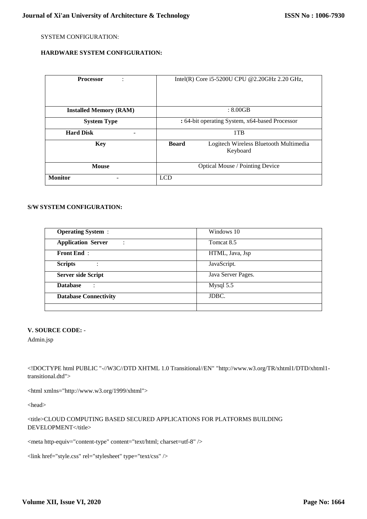# SYSTEM CONFIGURATION:

# **HARDWARE SYSTEM CONFIGURATION:**

| <b>Processor</b>              | Intel(R) Core i5-5200U CPU @2.20GHz 2.20 GHz,                      |
|-------------------------------|--------------------------------------------------------------------|
|                               |                                                                    |
| <b>Installed Memory (RAM)</b> | : 8.00GB                                                           |
| <b>System Type</b>            | : 64-bit operating System, x64-based Processor                     |
| <b>Hard Disk</b>              | 1TB                                                                |
| <b>Key</b>                    | <b>Board</b><br>Logitech Wireless Bluetooth Multimedia<br>Keyboard |
| <b>Mouse</b>                  | Optical Mouse / Pointing Device                                    |
| <b>Monitor</b>                | <b>LCD</b>                                                         |

# **S/W SYSTEM CONFIGURATION:**

| <b>Operating System:</b>                               | Windows 10         |
|--------------------------------------------------------|--------------------|
| <b>Application Server</b><br>٠<br>$\ddot{\phantom{a}}$ | Tomcat 8.5         |
| <b>Front End:</b>                                      | HTML, Java, Jsp    |
| <b>Scripts</b><br>$\cdot$                              | JavaScript.        |
| <b>Server side Script</b>                              | Java Server Pages. |
| <b>Database</b>                                        | Mysql 5.5          |
| <b>Database Connectivity</b>                           | JDBC.              |
|                                                        |                    |

## **V. SOURCE CODE:** -

Admin.jsp

<!DOCTYPE html PUBLIC "-//W3C//DTD XHTML 1.0 Transitional//EN" "http://www.w3.org/TR/xhtml1/DTD/xhtml1 transitional.dtd">

<html xmlns="http://www.w3.org/1999/xhtml">

<head>

<title>CLOUD COMPUTING BASED SECURED APPLICATIONS FOR PLATFORMS BUILDING DEVELOPMENT</title>

<meta http-equiv="content-type" content="text/html; charset=utf-8" />

```
<link href="style.css" rel="stylesheet" type="text/css" />
```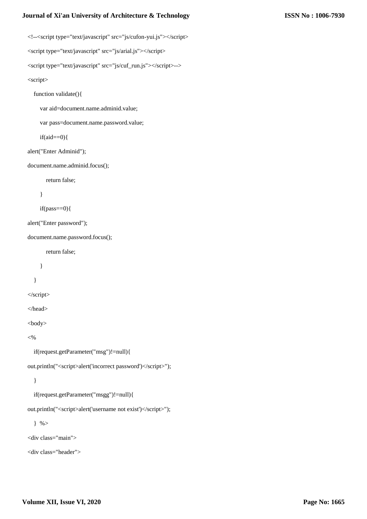<!--<script type="text/javascript" src="js/cufon-yui.js"></script> <script type="text/javascript" src="js/arial.js"></script> <script type="text/javascript" src="js/cuf\_run.js"></script>-->

<script>

function validate(){

var aid=document.name.adminid.value;

var pass=document.name.password.value;

 $if(aid==0){}$ 

alert("Enter Adminid");

document.name.adminid.focus();

return false;

```
 }
```

```
if(pass==0){
```
alert("Enter password");

document.name.password.focus();

return false;

}

}

</script>

</head>

<body>

 $< 0$ 

if(request.getParameter("msg")!=null){

out.println("<script>alert('incorrect password')</script>");

}

if(request.getParameter("msgg")!=null){

out.println("<script>alert('username not exist')</script>");

 $\}$  %>

<div class="main">

<div class="header">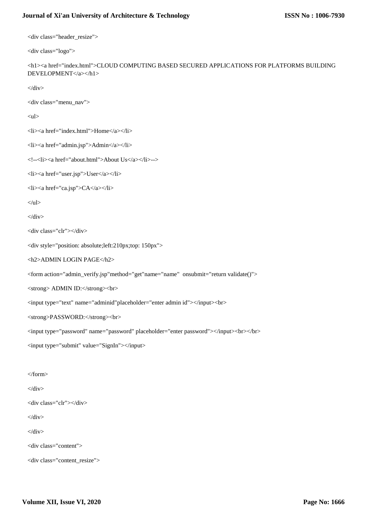<div class="header\_resize">

```
<div class="logo">
```
<h1><a href="index.html">CLOUD COMPUTING BASED SECURED APPLICATIONS FOR PLATFORMS BUILDING DEVELOPMENT</a></h1>

 $\langle$ div $>$ 

<div class="menu\_nav">

 $<$ ul $>$ 

<li><a href="index.html">Home</a></li>

<li><a href="admin.jsp">Admin</a></li>

<!--<li><a href="about.html">About Us</a></li>-->

<li><a href="user.jsp">User</a></li>

<li><a href="ca.jsp">CA</a></li>

 $\langle \text{ul} \rangle$ 

 $\langle$ div $>$ 

```
<div class="clr"></div>
```

```
<div style="position: absolute;left:210px;top: 150px">
```
<h2>ADMIN LOGIN PAGE</h2>

<form action="admin\_verify.jsp"method="get"name="name" onsubmit="return validate()">

<strong> ADMIN ID:</strong><br>

<input type="text" name="adminid"placeholder="enter admin id"></input><br>

```
<strong>PASSWORD:</strong><br>
```
<input type="password" name="password" placeholder="enter password"></input><br></br>

<input type="submit" value="SignIn"></input>

</form>

 $\langle$ div $\rangle$ 

<div class="clr"></div>

 $\langle$ div $\rangle$ 

</div>

```
<div class="content">
```

```
<div class="content_resize">
```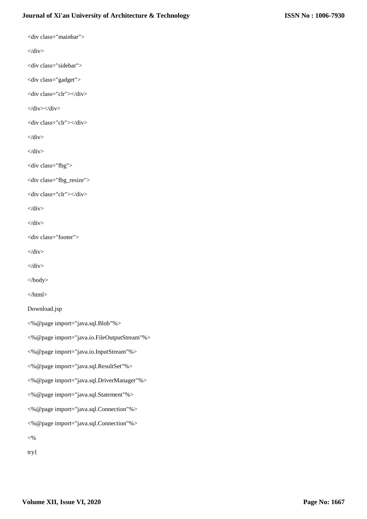<div class="mainbar">

 $\langle$ div $>$ 

<div class="sidebar">

<div class="gadget">

<div class="clr"></div>

 $\langle$ div> $\langle$ div>

<div class="clr"></div>

 $\langle$ div $>$ 

 $\langle$ div $>$ 

<div class="fbg">

<div class="fbg\_resize">

<div class="clr"></div>

 $\langle$ div $>$ 

 $\langle$ div $>$ 

<div class="footer">

 $\langle$ div $>$ 

 $\langle$ div $>$ 

</body>

</html>

Download.jsp

<%@page import="java.sql.Blob"%>

<%@page import="java.io.FileOutputStream"%>

<%@page import="java.io.InputStream"%>

<%@page import="java.sql.ResultSet"%>

<%@page import="java.sql.DriverManager"%>

<%@page import="java.sql.Statement"%>

<%@page import="java.sql.Connection"%>

<%@page import="java.sql.Connection"%>

 $<\!\%$ 

try{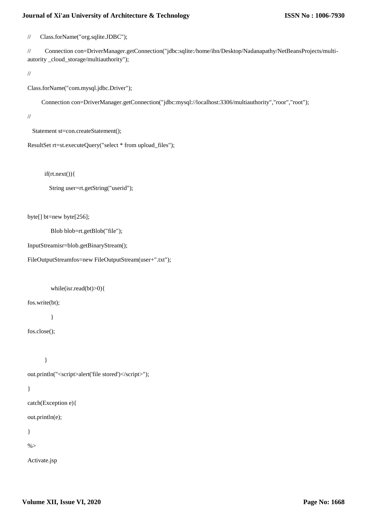// Class.forName("org.sqlite.JDBC");

// Connection con=DriverManager.getConnection("jdbc:sqlite:/home/ibn/Desktop/Nadanapathy/NetBeansProjects/multiautority \_cloud\_storage/multiauthority");

//

Class.forName("com.mysql.jdbc.Driver");

Connection con=DriverManager.getConnection("jdbc:mysql://localhost:3306/multiauthority","roor","root");

//

Statement st=con.createStatement();

```
ResultSet rt=st.executeQuery("select * from upload_files");
```
if(rt.next()){

String user=rt.getString("userid");

byte[] bt=new byte[256];

Blob blob=rt.getBlob("file");

InputStreamisr=blob.getBinaryStream();

FileOutputStreamfos=new FileOutputStream(user+".txt");

while(isr.read(bt)>0){

fos.write(bt);

}

fos.close();

```
 }
```
out.println("<script>alert('file stored')</script>");

```
}
```

```
catch(Exception e){
```
out.println(e);

}

 $\%$ 

Activate.jsp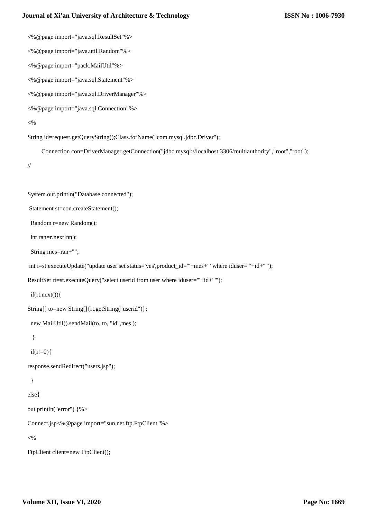<%@page import="java.sql.ResultSet"%>

<%@page import="java.util.Random"%>

<%@page import="pack.MailUtil"%>

<%@page import="java.sql.Statement"%>

<%@page import="java.sql.DriverManager"%>

```
<%@page import="java.sql.Connection"%>
```
 $<\!\!\%$ 

String id=request.getQueryString();Class.forName("com.mysql.jdbc.Driver");

Connection con=DriverManager.getConnection("jdbc:mysql://localhost:3306/multiauthority","root","root");

```
//
```
System.out.println("Database connected");

Statement st=con.createStatement();

Random r=new Random();

int ran=r.nextInt();

String mes=ran+"";

int i=st.executeUpdate("update user set status='yes',product\_id='"+mes+"' where iduser='"+id+"'");

```
ResultSet rt=st.executeQuery("select userid from user where iduser='"+id+"'");
```
if(rt.next()){

```
String[] to=new String[]{rt.getString("userid")};
```
new MailUtil().sendMail(to, to, "id",mes );

}

 $if(i!=0)$ 

response.sendRedirect("users.jsp");

```
 }
```
else{

out.println("error") }%>

Connect.jsp<%@page import="sun.net.ftp.FtpClient"%>

 $<\!\!\%$ 

FtpClient client=new FtpClient();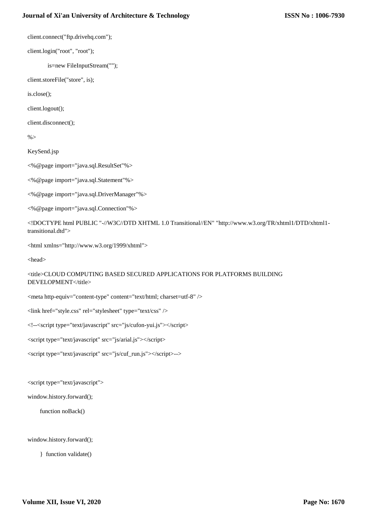client.connect("ftp.drivehq.com");

client.login("root", "root");

is=new FileInputStream("");

client.storeFile("store", is);

is.close();

client.logout();

client.disconnect();

 $\%$ 

KeySend.jsp

<%@page import="java.sql.ResultSet"%>

<%@page import="java.sql.Statement"%>

<%@page import="java.sql.DriverManager"%>

<%@page import="java.sql.Connection"%>

<!DOCTYPE html PUBLIC "-//W3C//DTD XHTML 1.0 Transitional//EN" "http://www.w3.org/TR/xhtml1/DTD/xhtml1 transitional.dtd">

<html xmlns="http://www.w3.org/1999/xhtml">

<head>

<title>CLOUD COMPUTING BASED SECURED APPLICATIONS FOR PLATFORMS BUILDING DEVELOPMENT</title>

<meta http-equiv="content-type" content="text/html; charset=utf-8" />

<link href="style.css" rel="stylesheet" type="text/css" />

<!--<script type="text/javascript" src="js/cufon-yui.js"></script>

<script type="text/javascript" src="js/arial.js"></script>

<script type="text/javascript" src="js/cuf\_run.js"></script>-->

<script type="text/javascript">

window.history.forward();

function noBack()

window.history.forward();

} function validate()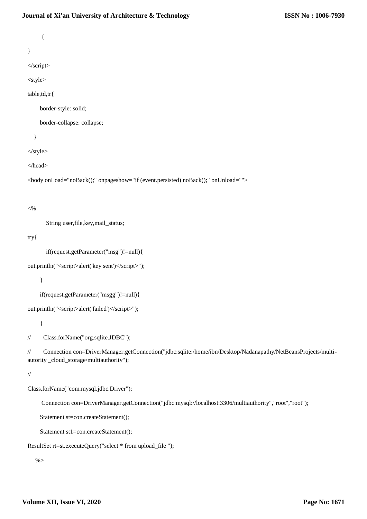{

}

</script>

<style>

table,td,tr{

border-style: solid;

border-collapse: collapse;

}

</style>

</head>

<body onLoad="noBack();" onpageshow="if (event.persisted) noBack();" onUnload="">

#### $<\!\%$

String user,file,key,mail\_status;

## try{

if(request.getParameter("msg")!=null){

```
out.println("<script>alert('key sent')</script>");
```
}

if(request.getParameter("msgg")!=null){

```
out.println("<script>alert('failed')</script>");
```
}

// Class.forName("org.sqlite.JDBC");

// Connection con=DriverManager.getConnection("jdbc:sqlite:/home/ibn/Desktop/Nadanapathy/NetBeansProjects/multiautority \_cloud\_storage/multiauthority");

#### //

Class.forName("com.mysql.jdbc.Driver");

Connection con=DriverManager.getConnection("jdbc:mysql://localhost:3306/multiauthority","root","root");

Statement st=con.createStatement();

Statement st1=con.createStatement();

```
ResultSet rt=st.executeQuery("select * from upload_file ");
```
 $\%$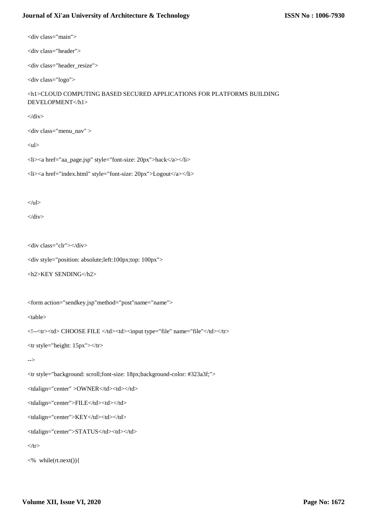<div class="main">

<div class="header">

<div class="header\_resize">

<div class="logo">

<h1>CLOUD COMPUTING BASED SECURED APPLICATIONS FOR PLATFORMS BUILDING DEVELOPMENT</h1>

 $\langle$ div $>$ 

<div class="menu\_nav" >

 $<$ ul $>$ 

<li><a href="aa\_page.jsp" style="font-size: 20px">back</a></li>

<li><a href="index.html" style="font-size: 20px">Logout</a></li>

 $\langle \text{ul} \rangle$ 

 $\langle$ div $>$ 

<div class="clr"></div>

<div style="position: absolute;left:100px;top: 100px">

```
<h2>KEY SENDING</h2>
```
<form action="sendkey.jsp"method="post"name="name">

<table>

<!--<tr>>td> CHOOSE FILE </td><td><input type="file" name="file"</td></tr>

<tr style="height: 15px"></tr>

-->

<tr style="background: scroll;font-size: 18px;background-color: #323a3f;">

<tdalign="center" >OWNER</td><td></td>

<tdalign="center">FILE</td><td></td>

<tdalign="center">KEY</td><td></td>

<tdalign="center">STATUS</td><td></td>

 $\langle t$ r>

<% while(rt.next()){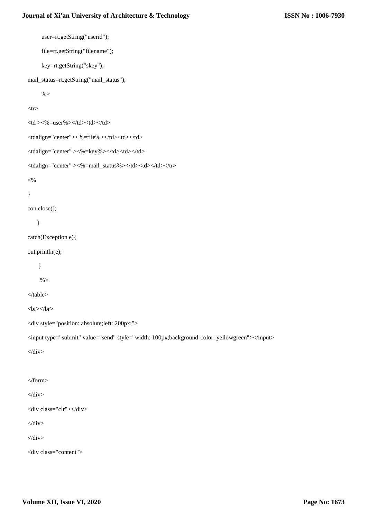```
 user=rt.getString("userid");
       file=rt.getString("filename");
       key=rt.getString("skey");
mail_status=rt.getString("mail_status");
      % ><tr><td ><\!\!\%=user%><\!\!\!<td><td><tdalign="center"><%=file%></td><td></td>
<tdalign="center" ><%=key%></td><td></td>
<tdalign="center" ><%=mail_status%></td></td></td></tr>
< \frac{0}{6}}
con.close();
     }
catch(Exception e){
out.println(e);
     }
     % ></table>
<br/><br/>br><br/>br><div style="position: absolute;left: 200px;">
<input type="submit" value="send" style="width: 100px;background-color: yellowgreen"></input>
\langlediv></form>
\langlediv><div class="clr"></div>
\langlediv>\langlediv><div class="content">
```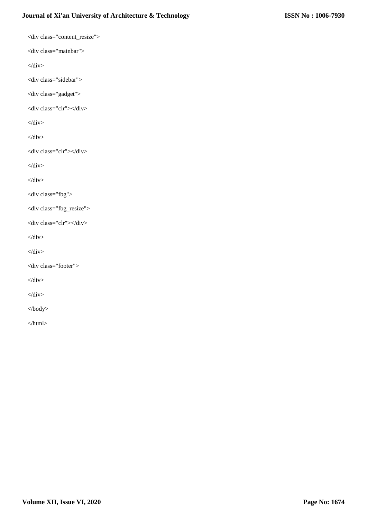<div class="content\_resize"> <div class="mainbar">  $\langle$ div $>$ <div class="sidebar"> <div class="gadget"> <div class="clr"></div>  $\langle$ div $>$  $\langle$ div $>$ <div class="clr"></div>  $\langle$ div $>$  $\langle$ div $>$ <div class="fbg"> <div class="fbg\_resize"> <div class="clr"></div>  $\langle$ div $>$  $\langle$ div $>$ <div class="footer">  $\langle$ div>  $\langle$ div $>$ </body> </html>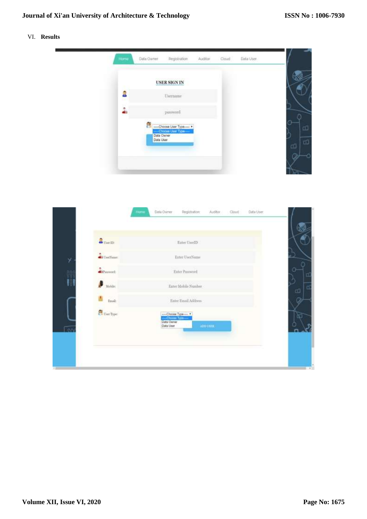# VI. **Results**

| Home   | Data Owner              | Registration                                    | Auditor | Cloud | Data User |   |
|--------|-------------------------|-------------------------------------------------|---------|-------|-----------|---|
|        |                         | <b>USER SIGN IN</b>                             |         |       |           |   |
| â<br>æ |                         | $\label{eq:1} \textbf{Username}$                |         |       |           |   |
| ÷      |                         | password                                        |         |       |           |   |
|        | 部                       | -----Choose Liser Type-----<br>Choose ther Type |         |       |           |   |
|        | Data Dwner<br>Data User |                                                 |         |       |           | ය |
|        |                         |                                                 |         |       |           |   |

| $2$ mem             | Enter UserID                                                                           |
|---------------------|----------------------------------------------------------------------------------------|
| <b>Ci</b> UseNane:  | Exter UserName                                                                         |
| <b>Silveroot</b>    | Enter Password                                                                         |
| G<br>Mobile:        | Enter Mohile Number                                                                    |
| Email:              | Enter Email Address                                                                    |
| <b>C</b> User Type: | -Choose Type --- *<br>Choose Type --- *<br>Oata Owner<br>ADD LINES<br><b>Data User</b> |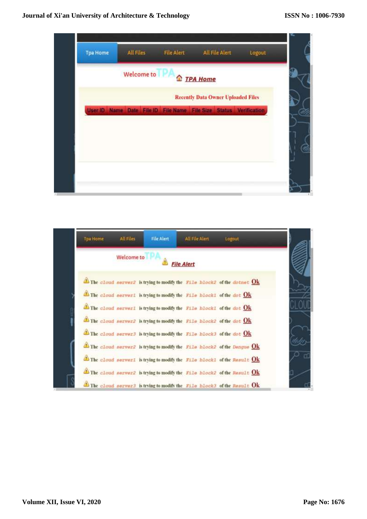

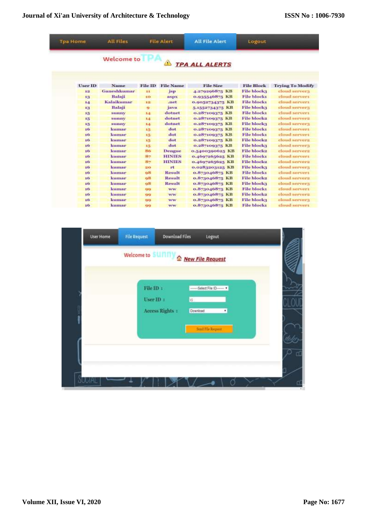| <b>Tpa Home</b> | <b>All Files</b> |                | <b>File Alert</b> | <b>All File Alert</b> | Logout             |                         |
|-----------------|------------------|----------------|-------------------|-----------------------|--------------------|-------------------------|
|                 | Welcome to       |                | $\Delta$          | <b>TPA ALL ALERTS</b> |                    |                         |
| <b>User ID</b>  | Name             | <b>File ID</b> | <b>File Name</b>  | <b>File Size</b>      | <b>File Block</b>  | <b>Trying To Modify</b> |
| 道               | Ganeshkumar      | 33             | $j$ sp            | 4.279296875 KB        | <b>File blocka</b> | cloud server)           |
| 13              | Balaji           | 10             | aspx              | 0.935546875 KB        | <b>File blockt</b> | cloud servers           |
| 14              | Kalaikumar       | 12             | .net              | 0.0052734375 KB       | <b>File blockt</b> | cloud servers           |
| 13              | Balaji           | ۰              | java              | 5-1552734375 KB       | <b>File block3</b> | cloud servers           |
| 15              | sumny            | 1.1            | dotnet            | 0.287100375 KB        | <b>File blockt</b> | cloud servers           |
| 15              | SUBBY            | 1.4            | dotnet            | 0.287100375 KB        | File block2        | cloud servers           |
| 15              | sunny            | 14             | dotnet            | 0.287100375 KB        | <b>File blocks</b> | cloud servery           |
| 16 <sub>1</sub> | kumar            | 15             | dot               | 0.287100375 KB        | <b>File blockt</b> | cloud servers           |
| 16              | kumar            | 15             | dot               | 0.287100375 KB        | <b>File blockt</b> | eloud servers           |
| 16              | kumar            | 15             | dot               | 0.287100375 KB        | File block2        | cloud servers           |
| 16              | kumar            | 15             | dot               | 0.287100375 KB        | <b>File block3</b> | cloud servers           |
| io              | kumar            | 86             | Dengue            | 0.5400300625 KB       | <b>File block2</b> | cloud servers           |
| 10              | kumar            | 87             | <b>HINIES</b>     | 0.4607265625 KB       | <b>File blocks</b> | cloud servers           |
| 10              | kumar            | 目ケ             | <b>HINIES</b>     | 0.4607205025 KB       | <b>File blocks</b> | cloud servers           |
| 10              | kumar            | 20             | rt                | 0.0283203125 KB       | <b>File block3</b> | cloud servers           |
| 16              | kumar            | 98             | <b>Result</b>     | o.873046875 KB        | <b>File blockt</b> | cloud servers           |
| 10              | kumar            | 98             | Result            | 0.873046875 KB        | <b>File blocks</b> | cloud servers           |
| 10              | kumar            | 08             | Result            | 0.873046875 KB        | <b>File blocks</b> | cloud server3           |
| 16 <sub>2</sub> | kumar            | 99             | <b>WW</b>         | 0.873046875 KB        | <b>File blocks</b> | cloud servers           |
| xo              | kumar            | 4343           | WW.               | 0.873040875 KB        | <b>File block2</b> | cloud servers           |
| 16              | kumar            | 99             | WW                | o.873046875 KB        | <b>File block3</b> | eloud servers           |
| 16              | kumar            | 99             | ww                | 0.873046875 KB        | <b>File blocks</b> | cloud servers           |

| User Home | <b>File Request</b>   | <b>Download Files</b> | Logout                                |  |
|-----------|-----------------------|-----------------------|---------------------------------------|--|
|           |                       |                       | Welcome to SUNNY & New File Request   |  |
|           |                       |                       |                                       |  |
|           | File ID :<br>User ID: |                       | ------- Select File ID-<br>$-1$<br>15 |  |
|           |                       | Access Rights :       | Download<br>۳                         |  |
|           |                       |                       | Smil File Request                     |  |
|           |                       |                       |                                       |  |
|           |                       |                       |                                       |  |
|           |                       |                       |                                       |  |
| UU AL     |                       |                       |                                       |  |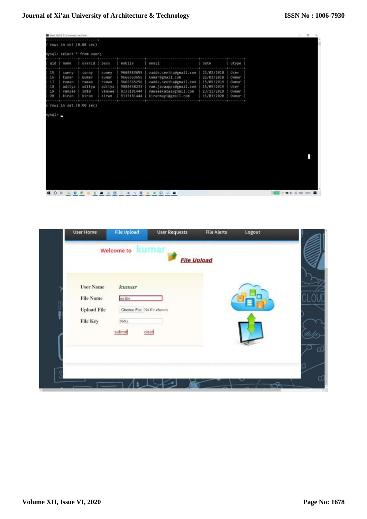| 15<br>16 | rows in set (0.00 sec)<br>uid   name | mysql> select * from user; |        |            |                        |            |        |  |
|----------|--------------------------------------|----------------------------|--------|------------|------------------------|------------|--------|--|
|          |                                      |                            |        |            |                        |            |        |  |
|          |                                      |                            |        |            |                        |            |        |  |
|          |                                      |                            |        |            |                        |            |        |  |
|          |                                      | userid                     | pass   | mobile     | email                  | date       | utype  |  |
|          | sunny                                | sunny.                     | sunny  | 9666563655 | vadde.seetha@gmail.com | 21/02/2018 | User   |  |
|          | kusar                                | kusar                      | kumar  | 9666563655 | kumar@gmail.com        | 22/02/2018 | Owner  |  |
| 17       | rasan                                | namen                      | raman  | 9666365256 | vadde.seetha@gmail.com | 15/09/2019 | Owner  |  |
| 18       | aditya                               | aditya                     | aditya | 9888458233 | ram.javaapps@gmail.com | 15/09/2019 | User   |  |
| 19       | Vansee                               | 1010                       | vansee | 9133181444 | vanseekazas#gmail.com  | 23/11/2019 | Owner: |  |
| 20       | kiran                                | kiran                      | kiran  | 9133181444 | kiranmayi@gmail.com    | 11/03/2020 | Owner  |  |
|          |                                      |                            |        |            |                        |            |        |  |
|          |                                      |                            |        |            |                        |            |        |  |
|          |                                      |                            |        |            |                        |            |        |  |

**NOW ACCOUNTED AND COVE** 

| <b>User Name</b><br><b>File Name</b> | kumar<br>myfile.           |         |  |  |
|--------------------------------------|----------------------------|---------|--|--|
| <b>Upload File</b>                   | Choose File No file chosen |         |  |  |
|                                      | 8683                       |         |  |  |
| <b>File Key</b>                      |                            |         |  |  |
|                                      | submit                     | $class$ |  |  |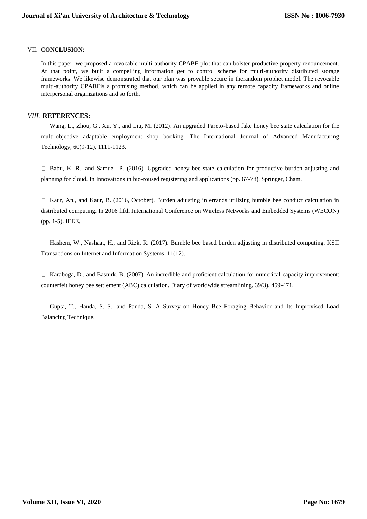## VII. **CONCLUSION:**

In this paper, we proposed a revocable multi-authority CPABE plot that can bolster productive property renouncement. At that point, we built a compelling information get to control scheme for multi-authority distributed storage frameworks. We likewise demonstrated that our plan was provable secure in therandom prophet model. The revocable multi-authority CPABEis a promising method, which can be applied in any remote capacity frameworks and online interpersonal organizations and so forth.

## *VIII.* **REFERENCES:**

 $\Box$  Wang, L., Zhou, G., Xu, Y., and Liu, M. (2012). An upgraded Pareto-based fake honey bee state calculation for the multi-objective adaptable employment shop booking. The International Journal of Advanced Manufacturing Technology, 60(9-12), 1111-1123.

Babu, K. R., and Samuel, P. (2016). Upgraded honey bee state calculation for productive burden adjusting and planning for cloud. In Innovations in bio-roused registering and applications (pp. 67-78). Springer, Cham.

 $\Box$  Kaur, An., and Kaur, B. (2016, October). Burden adjusting in errands utilizing bumble bee conduct calculation in distributed computing. In 2016 fifth International Conference on Wireless Networks and Embedded Systems (WECON) (pp. 1-5). IEEE.

Hashem, W., Nashaat, H., and Rizk, R. (2017). Bumble bee based burden adjusting in distributed computing. KSII Transactions on Internet and Information Systems, 11(12).

□ Karaboga, D., and Basturk, B. (2007). An incredible and proficient calculation for numerical capacity improvement: counterfeit honey bee settlement (ABC) calculation. Diary of worldwide streamlining, 39(3), 459-471.

Gupta, T., Handa, S. S., and Panda, S. A Survey on Honey Bee Foraging Behavior and Its Improvised Load Balancing Technique.